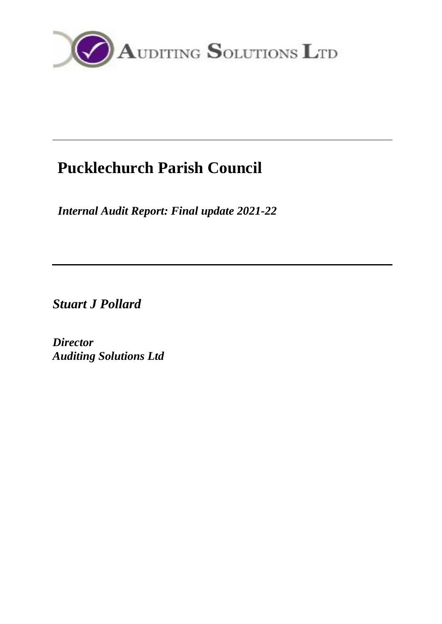

# **Pucklechurch Parish Council**

*Internal Audit Report: Final update 2021-22*

*Stuart J Pollard*

*Director Auditing Solutions Ltd*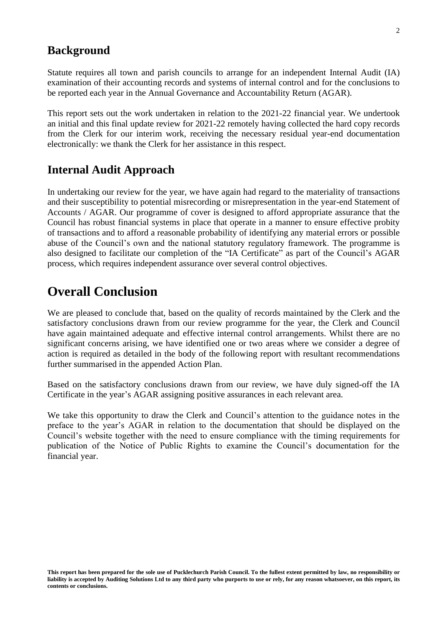#### **Background**

Statute requires all town and parish councils to arrange for an independent Internal Audit (IA) examination of their accounting records and systems of internal control and for the conclusions to be reported each year in the Annual Governance and Accountability Return (AGAR).

This report sets out the work undertaken in relation to the 2021-22 financial year. We undertook an initial and this final update review for 2021-22 remotely having collected the hard copy records from the Clerk for our interim work, receiving the necessary residual year-end documentation electronically: we thank the Clerk for her assistance in this respect.

#### **Internal Audit Approach**

In undertaking our review for the year, we have again had regard to the materiality of transactions and their susceptibility to potential misrecording or misrepresentation in the year-end Statement of Accounts / AGAR. Our programme of cover is designed to afford appropriate assurance that the Council has robust financial systems in place that operate in a manner to ensure effective probity of transactions and to afford a reasonable probability of identifying any material errors or possible abuse of the Council's own and the national statutory regulatory framework. The programme is also designed to facilitate our completion of the "IA Certificate" as part of the Council's AGAR process, which requires independent assurance over several control objectives.

## **Overall Conclusion**

We are pleased to conclude that, based on the quality of records maintained by the Clerk and the satisfactory conclusions drawn from our review programme for the year, the Clerk and Council have again maintained adequate and effective internal control arrangements. Whilst there are no significant concerns arising, we have identified one or two areas where we consider a degree of action is required as detailed in the body of the following report with resultant recommendations further summarised in the appended Action Plan.

Based on the satisfactory conclusions drawn from our review, we have duly signed-off the IA Certificate in the year's AGAR assigning positive assurances in each relevant area.

We take this opportunity to draw the Clerk and Council's attention to the guidance notes in the preface to the year's AGAR in relation to the documentation that should be displayed on the Council's website together with the need to ensure compliance with the timing requirements for publication of the Notice of Public Rights to examine the Council's documentation for the financial year.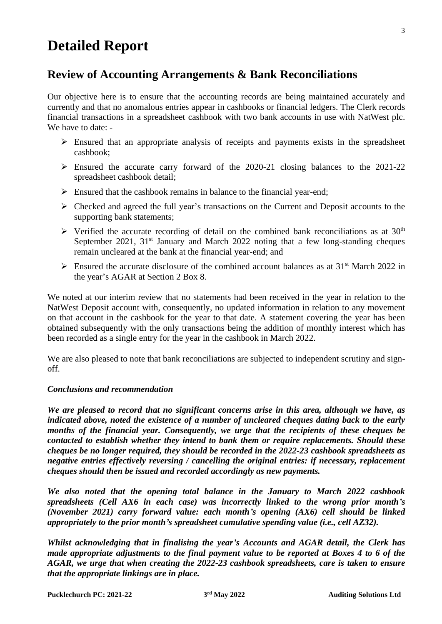## **Detailed Report**

## **Review of Accounting Arrangements & Bank Reconciliations**

Our objective here is to ensure that the accounting records are being maintained accurately and currently and that no anomalous entries appear in cashbooks or financial ledgers. The Clerk records financial transactions in a spreadsheet cashbook with two bank accounts in use with NatWest plc. We have to date: -

- $\triangleright$  Ensured that an appropriate analysis of receipts and payments exists in the spreadsheet cashbook;
- ➢ Ensured the accurate carry forward of the 2020-21 closing balances to the 2021-22 spreadsheet cashbook detail;
- $\triangleright$  Ensured that the cashbook remains in balance to the financial year-end;
- ➢ Checked and agreed the full year's transactions on the Current and Deposit accounts to the supporting bank statements;
- $\triangleright$  Verified the accurate recording of detail on the combined bank reconciliations as at 30<sup>th</sup> September 2021,  $31<sup>st</sup>$  January and March 2022 noting that a few long-standing cheques remain uncleared at the bank at the financial year-end; and
- $\triangleright$  Ensured the accurate disclosure of the combined account balances as at 31<sup>st</sup> March 2022 in the year's AGAR at Section 2 Box 8.

We noted at our interim review that no statements had been received in the year in relation to the NatWest Deposit account with, consequently, no updated information in relation to any movement on that account in the cashbook for the year to that date. A statement covering the year has been obtained subsequently with the only transactions being the addition of monthly interest which has been recorded as a single entry for the year in the cashbook in March 2022.

We are also pleased to note that bank reconciliations are subjected to independent scrutiny and signoff.

#### *Conclusions and recommendation*

*We are pleased to record that no significant concerns arise in this area, although we have, as indicated above, noted the existence of a number of uncleared cheques dating back to the early months of the financial year. Consequently, we urge that the recipients of these cheques be contacted to establish whether they intend to bank them or require replacements. Should these cheques be no longer required, they should be recorded in the 2022-23 cashbook spreadsheets as negative entries effectively reversing / cancelling the original entries: if necessary, replacement cheques should then be issued and recorded accordingly as new payments.*

*We also noted that the opening total balance in the January to March 2022 cashbook spreadsheets (Cell AX6 in each case) was incorrectly linked to the wrong prior month's (November 2021) carry forward value: each month's opening (AX6) cell should be linked appropriately to the prior month's spreadsheet cumulative spending value (i.e., cell AZ32).* 

*Whilst acknowledging that in finalising the year's Accounts and AGAR detail, the Clerk has made appropriate adjustments to the final payment value to be reported at Boxes 4 to 6 of the AGAR, we urge that when creating the 2022-23 cashbook spreadsheets, care is taken to ensure that the appropriate linkings are in place.*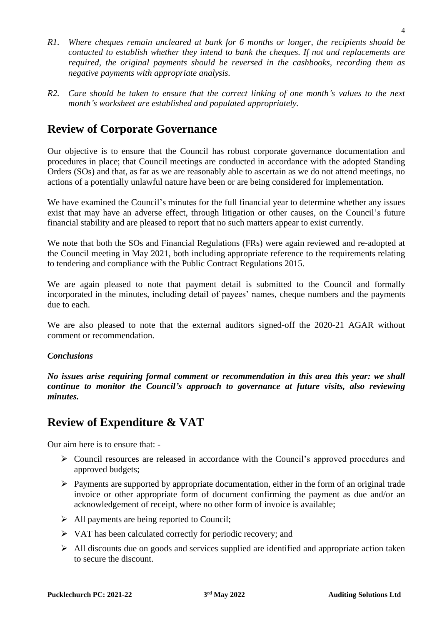- *R1. Where cheques remain uncleared at bank for 6 months or longer, the recipients should be contacted to establish whether they intend to bank the cheques. If not and replacements are required, the original payments should be reversed in the cashbooks, recording them as negative payments with appropriate analysis.*
- *R2. Care should be taken to ensure that the correct linking of one month's values to the next month's worksheet are established and populated appropriately.*

## **Review of Corporate Governance**

Our objective is to ensure that the Council has robust corporate governance documentation and procedures in place; that Council meetings are conducted in accordance with the adopted Standing Orders (SOs) and that, as far as we are reasonably able to ascertain as we do not attend meetings, no actions of a potentially unlawful nature have been or are being considered for implementation.

We have examined the Council's minutes for the full financial year to determine whether any issues exist that may have an adverse effect, through litigation or other causes, on the Council's future financial stability and are pleased to report that no such matters appear to exist currently.

We note that both the SOs and Financial Regulations (FRs) were again reviewed and re-adopted at the Council meeting in May 2021, both including appropriate reference to the requirements relating to tendering and compliance with the Public Contract Regulations 2015.

We are again pleased to note that payment detail is submitted to the Council and formally incorporated in the minutes, including detail of payees' names, cheque numbers and the payments due to each.

We are also pleased to note that the external auditors signed-off the 2020-21 AGAR without comment or recommendation.

#### *Conclusions*

*No issues arise requiring formal comment or recommendation in this area this year: we shall continue to monitor the Council's approach to governance at future visits, also reviewing minutes.*

## **Review of Expenditure & VAT**

Our aim here is to ensure that: -

- ➢ Council resources are released in accordance with the Council's approved procedures and approved budgets;
- $\triangleright$  Payments are supported by appropriate documentation, either in the form of an original trade invoice or other appropriate form of document confirming the payment as due and/or an acknowledgement of receipt, where no other form of invoice is available;
- ➢ All payments are being reported to Council;
- ➢ VAT has been calculated correctly for periodic recovery; and
- $\triangleright$  All discounts due on goods and services supplied are identified and appropriate action taken to secure the discount.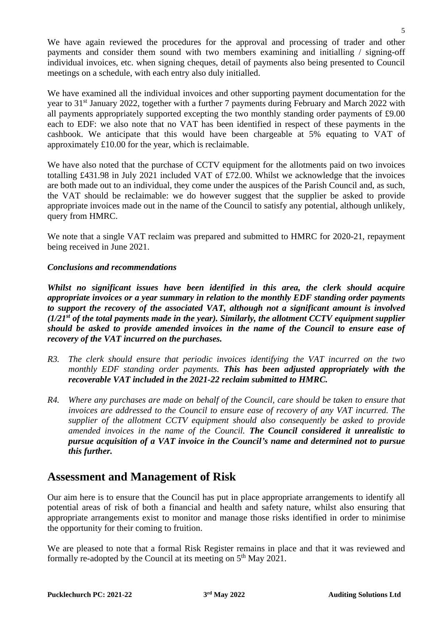We have again reviewed the procedures for the approval and processing of trader and other payments and consider them sound with two members examining and initialling / signing-off individual invoices, etc. when signing cheques, detail of payments also being presented to Council meetings on a schedule, with each entry also duly initialled.

We have examined all the individual invoices and other supporting payment documentation for the year to 31<sup>st</sup> January 2022, together with a further 7 payments during February and March 2022 with all payments appropriately supported excepting the two monthly standing order payments of £9.00 each to EDF: we also note that no VAT has been identified in respect of these payments in the cashbook. We anticipate that this would have been chargeable at 5% equating to VAT of approximately £10.00 for the year, which is reclaimable.

We have also noted that the purchase of CCTV equipment for the allotments paid on two invoices totalling £431.98 in July 2021 included VAT of £72.00. Whilst we acknowledge that the invoices are both made out to an individual, they come under the auspices of the Parish Council and, as such, the VAT should be reclaimable: we do however suggest that the supplier be asked to provide appropriate invoices made out in the name of the Council to satisfy any potential, although unlikely, query from HMRC.

We note that a single VAT reclaim was prepared and submitted to HMRC for 2020-21, repayment being received in June 2021.

#### *Conclusions and recommendations*

*Whilst no significant issues have been identified in this area, the clerk should acquire appropriate invoices or a year summary in relation to the monthly EDF standing order payments to support the recovery of the associated VAT, although not a significant amount is involved (1/21st of the total payments made in the year). Similarly, the allotment CCTV equipment supplier should be asked to provide amended invoices in the name of the Council to ensure ease of recovery of the VAT incurred on the purchases.*

- *R3. The clerk should ensure that periodic invoices identifying the VAT incurred on the two monthly EDF standing order payments. This has been adjusted appropriately with the recoverable VAT included in the 2021-22 reclaim submitted to HMRC.*
- *R4. Where any purchases are made on behalf of the Council, care should be taken to ensure that invoices are addressed to the Council to ensure ease of recovery of any VAT incurred. The supplier of the allotment CCTV equipment should also consequently be asked to provide amended invoices in the name of the Council. The Council considered it unrealistic to pursue acquisition of a VAT invoice in the Council's name and determined not to pursue this further.*

## **Assessment and Management of Risk**

Our aim here is to ensure that the Council has put in place appropriate arrangements to identify all potential areas of risk of both a financial and health and safety nature, whilst also ensuring that appropriate arrangements exist to monitor and manage those risks identified in order to minimise the opportunity for their coming to fruition.

We are pleased to note that a formal Risk Register remains in place and that it was reviewed and formally re-adopted by the Council at its meeting on 5<sup>th</sup> May 2021.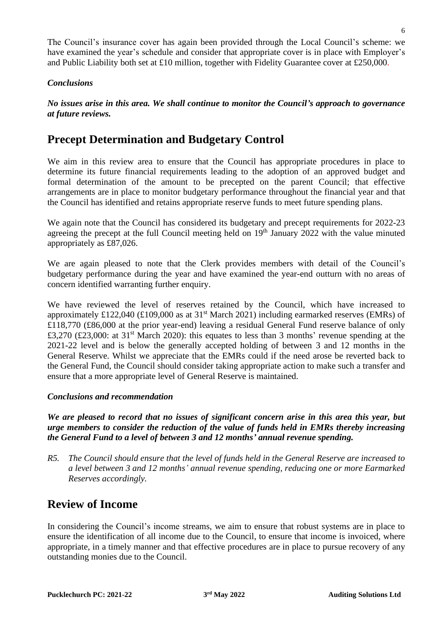The Council's insurance cover has again been provided through the Local Council's scheme: we have examined the year's schedule and consider that appropriate cover is in place with Employer's and Public Liability both set at £10 million, together with Fidelity Guarantee cover at £250,000.

#### *Conclusions*

*No issues arise in this area. We shall continue to monitor the Council's approach to governance at future reviews.*

#### **Precept Determination and Budgetary Control**

We aim in this review area to ensure that the Council has appropriate procedures in place to determine its future financial requirements leading to the adoption of an approved budget and formal determination of the amount to be precepted on the parent Council; that effective arrangements are in place to monitor budgetary performance throughout the financial year and that the Council has identified and retains appropriate reserve funds to meet future spending plans.

We again note that the Council has considered its budgetary and precept requirements for 2022-23 agreeing the precept at the full Council meeting held on 19<sup>th</sup> January 2022 with the value minuted appropriately as £87,026.

We are again pleased to note that the Clerk provides members with detail of the Council's budgetary performance during the year and have examined the year-end outturn with no areas of concern identified warranting further enquiry.

We have reviewed the level of reserves retained by the Council, which have increased to approximately £122,040 (£109,000 as at  $31<sup>st</sup>$  March 2021) including earmarked reserves (EMRs) of £118,770 (£86,000 at the prior year-end) leaving a residual General Fund reserve balance of only £3,270 (£23,000: at 31<sup>st</sup> March 2020): this equates to less than 3 months' revenue spending at the 2021-22 level and is below the generally accepted holding of between 3 and 12 months in the General Reserve. Whilst we appreciate that the EMRs could if the need arose be reverted back to the General Fund, the Council should consider taking appropriate action to make such a transfer and ensure that a more appropriate level of General Reserve is maintained.

#### *Conclusions and recommendation*

*We are pleased to record that no issues of significant concern arise in this area this year, but urge members to consider the reduction of the value of funds held in EMRs thereby increasing the General Fund to a level of between 3 and 12 months' annual revenue spending.*

*R5. The Council should ensure that the level of funds held in the General Reserve are increased to a level between 3 and 12 months' annual revenue spending, reducing one or more Earmarked Reserves accordingly.*

## **Review of Income**

In considering the Council's income streams, we aim to ensure that robust systems are in place to ensure the identification of all income due to the Council, to ensure that income is invoiced, where appropriate, in a timely manner and that effective procedures are in place to pursue recovery of any outstanding monies due to the Council.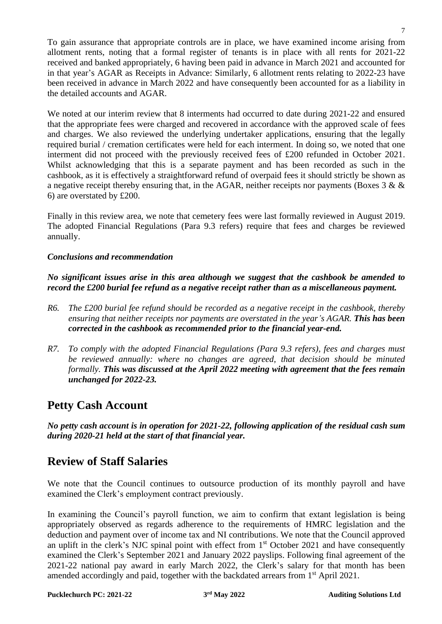To gain assurance that appropriate controls are in place, we have examined income arising from allotment rents, noting that a formal register of tenants is in place with all rents for 2021-22 received and banked appropriately, 6 having been paid in advance in March 2021 and accounted for in that year's AGAR as Receipts in Advance: Similarly, 6 allotment rents relating to 2022-23 have been received in advance in March 2022 and have consequently been accounted for as a liability in the detailed accounts and AGAR.

We noted at our interim review that 8 interments had occurred to date during 2021-22 and ensured that the appropriate fees were charged and recovered in accordance with the approved scale of fees and charges. We also reviewed the underlying undertaker applications, ensuring that the legally required burial / cremation certificates were held for each interment. In doing so, we noted that one interment did not proceed with the previously received fees of £200 refunded in October 2021. Whilst acknowledging that this is a separate payment and has been recorded as such in the cashbook, as it is effectively a straightforward refund of overpaid fees it should strictly be shown as a negative receipt thereby ensuring that, in the AGAR, neither receipts nor payments (Boxes  $3 \& \&$ 6) are overstated by £200.

Finally in this review area, we note that cemetery fees were last formally reviewed in August 2019. The adopted Financial Regulations (Para 9.3 refers) require that fees and charges be reviewed annually.

#### *Conclusions and recommendation*

*No significant issues arise in this area although we suggest that the cashbook be amended to record the £200 burial fee refund as a negative receipt rather than as a miscellaneous payment.*

- *R6. The £200 burial fee refund should be recorded as a negative receipt in the cashbook, thereby ensuring that neither receipts nor payments are overstated in the year's AGAR. This has been corrected in the cashbook as recommended prior to the financial year-end.*
- *R7. To comply with the adopted Financial Regulations (Para 9.3 refers), fees and charges must be reviewed annually: where no changes are agreed, that decision should be minuted formally. This was discussed at the April 2022 meeting with agreement that the fees remain unchanged for 2022-23.*

## **Petty Cash Account**

*No petty cash account is in operation for 2021-22, following application of the residual cash sum during 2020-21 held at the start of that financial year.*

## **Review of Staff Salaries**

We note that the Council continues to outsource production of its monthly payroll and have examined the Clerk's employment contract previously.

In examining the Council's payroll function, we aim to confirm that extant legislation is being appropriately observed as regards adherence to the requirements of HMRC legislation and the deduction and payment over of income tax and NI contributions. We note that the Council approved an uplift in the clerk's NJC spinal point with effect from 1<sup>st</sup> October 2021 and have consequently examined the Clerk's September 2021 and January 2022 payslips. Following final agreement of the 2021-22 national pay award in early March 2022, the Clerk's salary for that month has been amended accordingly and paid, together with the backdated arrears from 1<sup>st</sup> April 2021.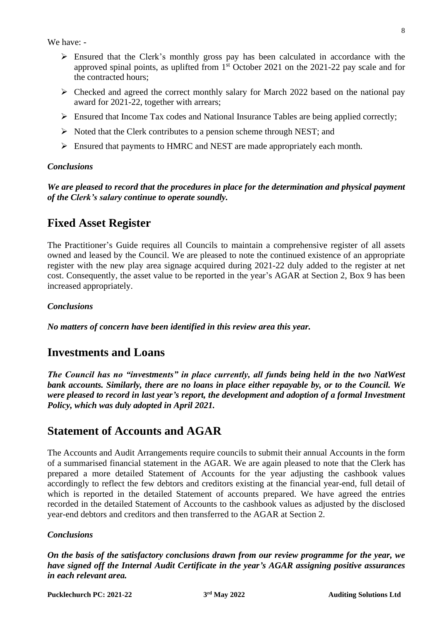We have: -

- ➢ Ensured that the Clerk's monthly gross pay has been calculated in accordance with the approved spinal points, as uplifted from 1 st October 2021 on the 2021-22 pay scale and for the contracted hours;
- $\triangleright$  Checked and agreed the correct monthly salary for March 2022 based on the national pay award for 2021-22, together with arrears;
- ➢ Ensured that Income Tax codes and National Insurance Tables are being applied correctly;
- $\triangleright$  Noted that the Clerk contributes to a pension scheme through NEST; and
- ➢ Ensured that payments to HMRC and NEST are made appropriately each month.

#### *Conclusions*

*We are pleased to record that the procedures in place for the determination and physical payment of the Clerk's salary continue to operate soundly.*

## **Fixed Asset Register**

The Practitioner's Guide requires all Councils to maintain a comprehensive register of all assets owned and leased by the Council. We are pleased to note the continued existence of an appropriate register with the new play area signage acquired during 2021-22 duly added to the register at net cost. Consequently, the asset value to be reported in the year's AGAR at Section 2, Box 9 has been increased appropriately.

#### *Conclusions*

*No matters of concern have been identified in this review area this year.*

## **Investments and Loans**

*The Council has no "investments" in place currently, all funds being held in the two NatWest bank accounts. Similarly, there are no loans in place either repayable by, or to the Council. We were pleased to record in last year's report, the development and adoption of a formal Investment Policy, which was duly adopted in April 2021.*

## **Statement of Accounts and AGAR**

The Accounts and Audit Arrangements require councils to submit their annual Accounts in the form of a summarised financial statement in the AGAR. We are again pleased to note that the Clerk has prepared a more detailed Statement of Accounts for the year adjusting the cashbook values accordingly to reflect the few debtors and creditors existing at the financial year-end, full detail of which is reported in the detailed Statement of accounts prepared. We have agreed the entries recorded in the detailed Statement of Accounts to the cashbook values as adjusted by the disclosed year-end debtors and creditors and then transferred to the AGAR at Section 2.

#### *Conclusions*

*On the basis of the satisfactory conclusions drawn from our review programme for the year, we have signed off the Internal Audit Certificate in the year's AGAR assigning positive assurances in each relevant area.*